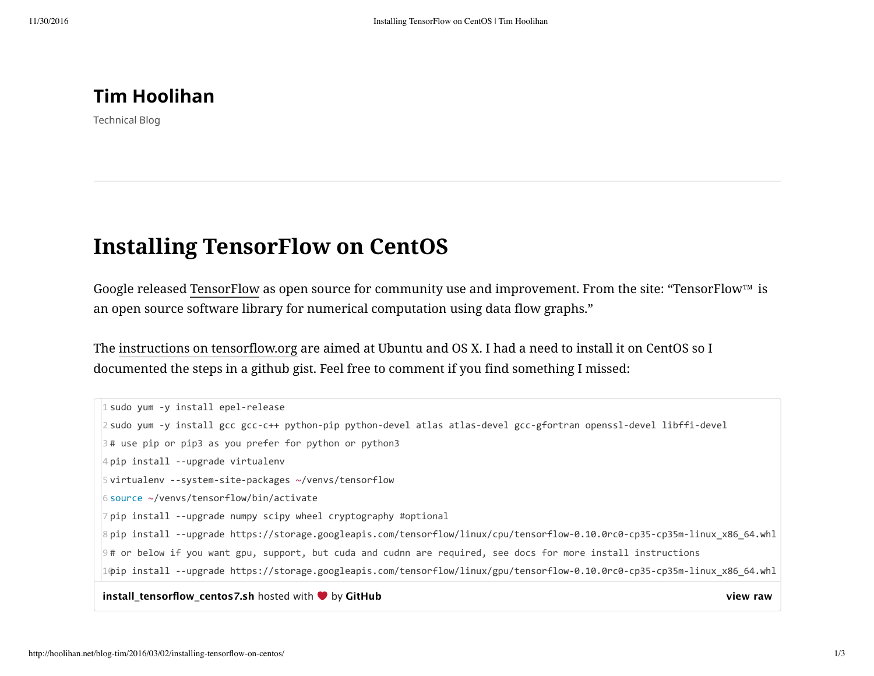**[Tim Hoolihan](http://hoolihan.net/blog-tim/)**

Technical Blog

## **Installing TensorFlow on CentOS**

Google released [TensorFlow](http://tensorflow.org/) as open source for community use and improvement. From the site: "TensorFlow™ is an open source software library for numerical computation using data flow graphs."

The [instructions on tensorflow.org](https://www.tensorflow.org/versions/r0.8/get_started/os_setup.html#installation-for-linux) are aimed at Ubuntu and OS X. I had a need to install it on CentOS so I documented the steps in a github gist. Feel free to comment if you find something I missed:

**[view raw](https://gist.github.com/thoolihan/28679cd8156744a62f88/raw/5472be24115b334e24d37e0b47fe5887d6e0d135/install_tensorflow_centos7.sh)** sudo yum ‐y install epel‐release sudo yum ‐y install gcc gcc‐c++ python‐pip python‐devel atlas atlas‐devel gcc‐gfortran openssl‐devel libffi‐devel # use pip or pip3 as you prefer for python or python3 pip install ‐‐upgrade virtualenv virtualenv ‐‐system‐site‐packages ~/venvs/tensorflow source ~/venvs/tensorflow/bin/activate pip install ‐‐upgrade numpy scipy wheel cryptography #optional pip install ‐‐upgrade https://storage.googleapis.com/tensorflow/linux/cpu/tensorflow‐0.10.0rc0‐cp35‐cp35m‐linux\_x86\_64.whl # or below if you want gpu, support, but cuda and cudnn are required, see docs for more install instructions pip install ‐‐upgrade https://storage.googleapis.com/tensorflow/linux/gpu/tensorflow‐0.10.0rc0‐cp35‐cp35m‐linux\_x86\_64.whl**install tensorflow centos7.sh** hosted with  $\bullet$  by [GitHub](https://github.com/)

## http://hoolihan.net/blog-tim/2016/03/02/installing-tensorflow-on-centos/ 1/3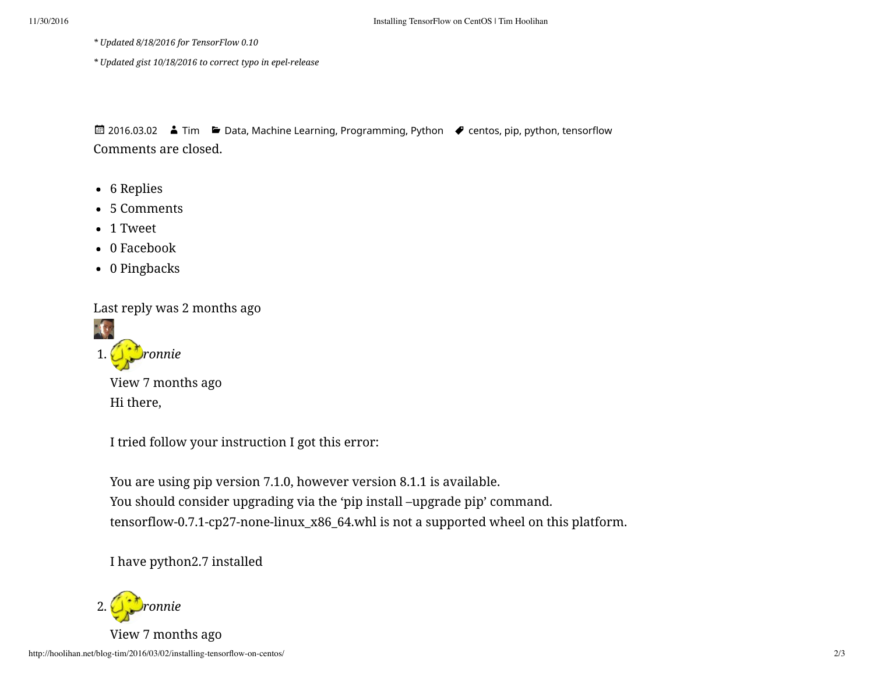*\* Updated 8/18/2016 for TensorFlow 0.10*

*\* Updated gist 10/18/2016 to correct typo in epel-release*

Comments are closed. ■ [2016.03.02](http://hoolihan.net/blog-tim/2016/03/02/installing-tensorflow-on-centos/) ■ [Tim](http://hoolihan.net/blog-tim/author/Tim/) ■ [Data](http://hoolihan.net/blog-tim/category/data/), [Machine Learning,](http://hoolihan.net/blog-tim/category/machine-learning/) [Programming](http://hoolihan.net/blog-tim/category/programming/), [Python](http://hoolihan.net/blog-tim/category/python/) ● [centos,](http://hoolihan.net/blog-tim/tag/centos/) [pip,](http://hoolihan.net/blog-tim/tag/pip/) [python,](http://hoolihan.net/blog-tim/tag/python/) [tensorflow](http://hoolihan.net/blog-tim/tag/tensorflow/)

- 6 Replies
- 5 Comments
- 1 Tweet
- 0 Facebook
- 0 Pingbacks

Last reply was 2 months ago

<span id="page-1-0"></span>

View [7 months ago](#page-1-0) Hi there,

I tried follow your instruction I got this error:

You are using pip version 7.1.0, however version 8.1.1 is available. You should consider upgrading via the 'pip install –upgrade pip' command. tensorflow-0.7.1-cp27-none-linux\_x86\_64.whl is not a supported wheel on this platform.

I have python2.7 installed

<span id="page-1-1"></span>2. *Dronnie* View [7 months ago](#page-1-1)